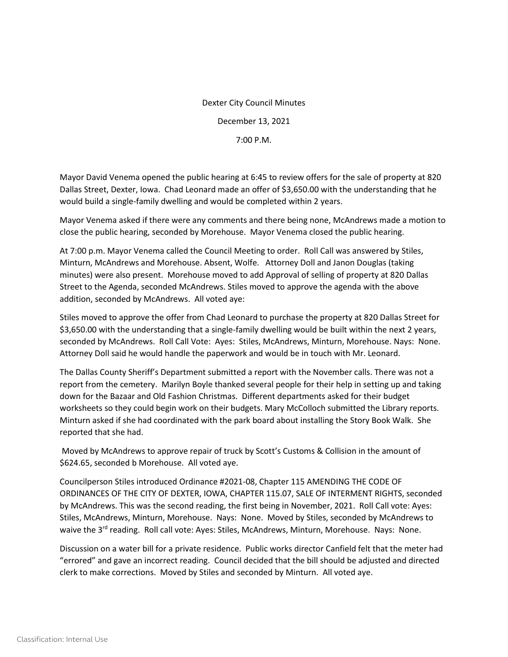## Dexter City Council Minutes December 13, 2021 7:00 P.M.

Mayor David Venema opened the public hearing at 6:45 to review offers for the sale of property at 820 Dallas Street, Dexter, Iowa. Chad Leonard made an offer of \$3,650.00 with the understanding that he would build a single-family dwelling and would be completed within 2 years.

Mayor Venema asked if there were any comments and there being none, McAndrews made a motion to close the public hearing, seconded by Morehouse. Mayor Venema closed the public hearing.

At 7:00 p.m. Mayor Venema called the Council Meeting to order. Roll Call was answered by Stiles, Minturn, McAndrews and Morehouse. Absent, Wolfe. Attorney Doll and Janon Douglas (taking minutes) were also present. Morehouse moved to add Approval of selling of property at 820 Dallas Street to the Agenda, seconded McAndrews. Stiles moved to approve the agenda with the above addition, seconded by McAndrews. All voted aye:

Stiles moved to approve the offer from Chad Leonard to purchase the property at 820 Dallas Street for \$3,650.00 with the understanding that a single-family dwelling would be built within the next 2 years, seconded by McAndrews. Roll Call Vote: Ayes: Stiles, McAndrews, Minturn, Morehouse. Nays: None. Attorney Doll said he would handle the paperwork and would be in touch with Mr. Leonard.

The Dallas County Sheriff's Department submitted a report with the November calls. There was not a report from the cemetery. Marilyn Boyle thanked several people for their help in setting up and taking down for the Bazaar and Old Fashion Christmas. Different departments asked for their budget worksheets so they could begin work on their budgets. Mary McColloch submitted the Library reports. Minturn asked if she had coordinated with the park board about installing the Story Book Walk. She reported that she had.

Moved by McAndrews to approve repair of truck by Scott's Customs & Collision in the amount of \$624.65, seconded b Morehouse. All voted aye.

Councilperson Stiles introduced Ordinance #2021-08, Chapter 115 AMENDING THE CODE OF ORDINANCES OF THE CITY OF DEXTER, IOWA, CHAPTER 115.07, SALE OF INTERMENT RIGHTS, seconded by McAndrews. This was the second reading, the first being in November, 2021. Roll Call vote: Ayes: Stiles, McAndrews, Minturn, Morehouse. Nays: None. Moved by Stiles, seconded by McAndrews to waive the 3<sup>rd</sup> reading. Roll call vote: Ayes: Stiles, McAndrews, Minturn, Morehouse. Nays: None.

Discussion on a water bill for a private residence. Public works director Canfield felt that the meter had "errored" and gave an incorrect reading. Council decided that the bill should be adjusted and directed clerk to make corrections. Moved by Stiles and seconded by Minturn. All voted aye.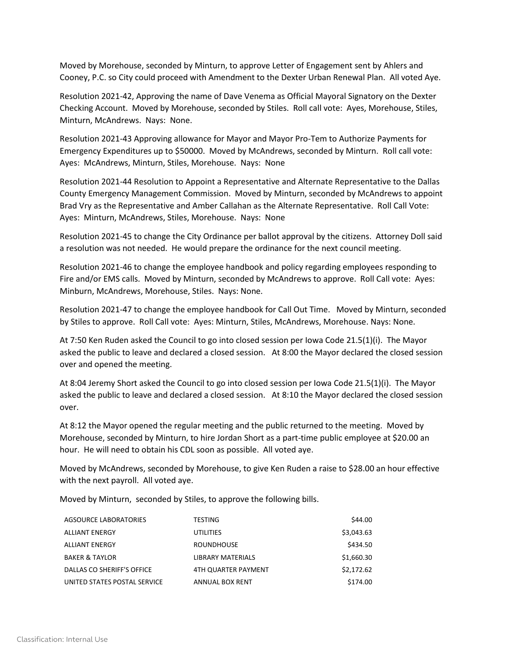Moved by Morehouse, seconded by Minturn, to approve Letter of Engagement sent by Ahlers and Cooney, P.C. so City could proceed with Amendment to the Dexter Urban Renewal Plan. All voted Aye.

Resolution 2021-42, Approving the name of Dave Venema as Official Mayoral Signatory on the Dexter Checking Account. Moved by Morehouse, seconded by Stiles. Roll call vote: Ayes, Morehouse, Stiles, Minturn, McAndrews. Nays: None.

Resolution 2021-43 Approving allowance for Mayor and Mayor Pro-Tem to Authorize Payments for Emergency Expenditures up to \$50000. Moved by McAndrews, seconded by Minturn. Roll call vote: Ayes: McAndrews, Minturn, Stiles, Morehouse. Nays: None

Resolution 2021-44 Resolution to Appoint a Representative and Alternate Representative to the Dallas County Emergency Management Commission. Moved by Minturn, seconded by McAndrews to appoint Brad Vry as the Representative and Amber Callahan as the Alternate Representative. Roll Call Vote: Ayes: Minturn, McAndrews, Stiles, Morehouse. Nays: None

Resolution 2021-45 to change the City Ordinance per ballot approval by the citizens. Attorney Doll said a resolution was not needed. He would prepare the ordinance for the next council meeting.

Resolution 2021-46 to change the employee handbook and policy regarding employees responding to Fire and/or EMS calls. Moved by Minturn, seconded by McAndrews to approve. Roll Call vote: Ayes: Minburn, McAndrews, Morehouse, Stiles. Nays: None.

Resolution 2021-47 to change the employee handbook for Call Out Time. Moved by Minturn, seconded by Stiles to approve. Roll Call vote: Ayes: Minturn, Stiles, McAndrews, Morehouse. Nays: None.

At 7:50 Ken Ruden asked the Council to go into closed session per Iowa Code 21.5(1)(i). The Mayor asked the public to leave and declared a closed session. At 8:00 the Mayor declared the closed session over and opened the meeting.

At 8:04 Jeremy Short asked the Council to go into closed session per Iowa Code 21.5(1)(i). The Mayor asked the public to leave and declared a closed session. At 8:10 the Mayor declared the closed session over.

At 8:12 the Mayor opened the regular meeting and the public returned to the meeting. Moved by Morehouse, seconded by Minturn, to hire Jordan Short as a part-time public employee at \$20.00 an hour. He will need to obtain his CDL soon as possible. All voted aye.

Moved by McAndrews, seconded by Morehouse, to give Ken Ruden a raise to \$28.00 an hour effective with the next payroll. All voted aye.

Moved by Minturn, seconded by Stiles, to approve the following bills.

| AGSOURCE LABORATORIES        | <b>TESTING</b>         | \$44.00    |
|------------------------------|------------------------|------------|
| <b>ALLIANT ENERGY</b>        | UTILITIES              | \$3,043.63 |
| <b>ALLIANT ENERGY</b>        | <b>ROUNDHOUSE</b>      | \$434.50   |
| <b>BAKER &amp; TAYLOR</b>    | LIBRARY MATERIALS      | \$1,660.30 |
| DALLAS CO SHERIFF'S OFFICE   | 4TH QUARTER PAYMENT    | \$2,172.62 |
| UNITED STATES POSTAL SERVICE | <b>ANNUAL BOX RENT</b> | \$174.00   |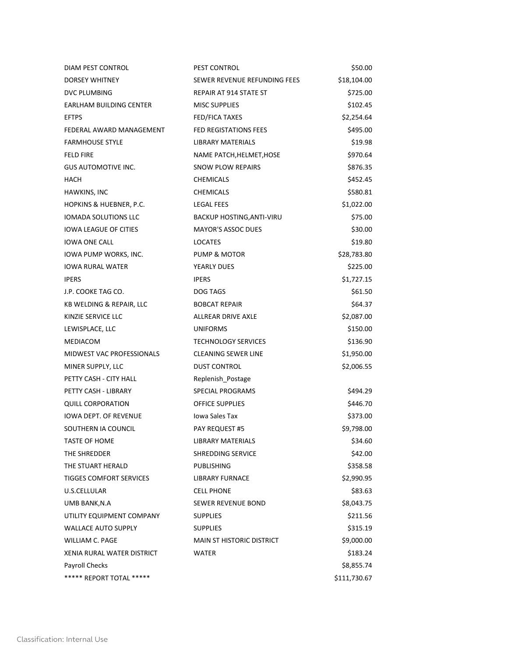| DIAM PEST CONTROL              | PEST CONTROL                     | \$50.00      |
|--------------------------------|----------------------------------|--------------|
| <b>DORSEY WHITNEY</b>          | SEWER REVENUE REFUNDING FEES     | \$18,104.00  |
| DVC PLUMBING                   | REPAIR AT 914 STATE ST           | \$725.00     |
| <b>EARLHAM BUILDING CENTER</b> | <b>MISC SUPPLIES</b>             | \$102.45     |
| <b>EFTPS</b>                   | <b>FED/FICA TAXES</b>            | \$2,254.64   |
| FEDERAL AWARD MANAGEMENT       | FED REGISTATIONS FEES            | \$495.00     |
| <b>FARMHOUSE STYLE</b>         | LIBRARY MATERIALS                | \$19.98      |
| <b>FELD FIRE</b>               | NAME PATCH, HELMET, HOSE         | \$970.64     |
| <b>GUS AUTOMOTIVE INC.</b>     | SNOW PLOW REPAIRS                | \$876.35     |
| HACH                           | <b>CHEMICALS</b>                 | \$452.45     |
| HAWKINS, INC                   | <b>CHEMICALS</b>                 | \$580.81     |
| HOPKINS & HUEBNER, P.C.        | <b>LEGAL FEES</b>                | \$1,022.00   |
| <b>IOMADA SOLUTIONS LLC</b>    | BACKUP HOSTING, ANTI-VIRU        | \$75.00      |
| <b>IOWA LEAGUE OF CITIES</b>   | <b>MAYOR'S ASSOC DUES</b>        | \$30.00      |
| <b>IOWA ONE CALL</b>           | LOCATES                          | \$19.80      |
| IOWA PUMP WORKS, INC.          | PUMP & MOTOR                     | \$28,783.80  |
| <b>IOWA RURAL WATER</b>        | YEARLY DUES                      | \$225.00     |
| <b>IPERS</b>                   | <b>IPERS</b>                     | \$1,727.15   |
| J.P. COOKE TAG CO.             | DOG TAGS                         | \$61.50      |
| KB WELDING & REPAIR, LLC       | <b>BOBCAT REPAIR</b>             | \$64.37      |
| KINZIE SERVICE LLC             | ALLREAR DRIVE AXLE               | \$2,087.00   |
| LEWISPLACE, LLC                | <b>UNIFORMS</b>                  | \$150.00     |
| MEDIACOM                       | <b>TECHNOLOGY SERVICES</b>       | \$136.90     |
| MIDWEST VAC PROFESSIONALS      | <b>CLEANING SEWER LINE</b>       | \$1,950.00   |
| MINER SUPPLY, LLC              | <b>DUST CONTROL</b>              | \$2,006.55   |
| PETTY CASH - CITY HALL         | Replenish Postage                |              |
| PETTY CASH - LIBRARY           | <b>SPECIAL PROGRAMS</b>          | \$494.29     |
| <b>QUILL CORPORATION</b>       | <b>OFFICE SUPPLIES</b>           | \$446.70     |
| <b>IOWA DEPT. OF REVENUE</b>   | Jowa Sales Tax                   | \$373.00     |
| SOUTHERN IA COUNCIL            | <b>PAY REQUEST #5</b>            | \$9,798.00   |
| <b>TASTE OF HOME</b>           | <b>LIBRARY MATERIALS</b>         | \$34.60      |
| THE SHREDDER                   | <b>SHREDDING SERVICE</b>         | \$42.00      |
| THE STUART HERALD              | PUBLISHING                       | \$358.58     |
| <b>TIGGES COMFORT SERVICES</b> | <b>LIBRARY FURNACE</b>           | \$2,990.95   |
| U.S.CELLULAR                   | <b>CELL PHONE</b>                | \$83.63      |
| UMB BANK, N.A                  | SEWER REVENUE BOND               | \$8,043.75   |
| UTILITY EQUIPMENT COMPANY      | <b>SUPPLIES</b>                  | \$211.56     |
| <b>WALLACE AUTO SUPPLY</b>     | <b>SUPPLIES</b>                  | \$315.19     |
| WILLIAM C. PAGE                | <b>MAIN ST HISTORIC DISTRICT</b> | \$9,000.00   |
| XENIA RURAL WATER DISTRICT     | <b>WATER</b>                     | \$183.24     |
| Payroll Checks                 |                                  | \$8,855.74   |
| ***** REPORT TOTAL *****       |                                  | \$111,730.67 |